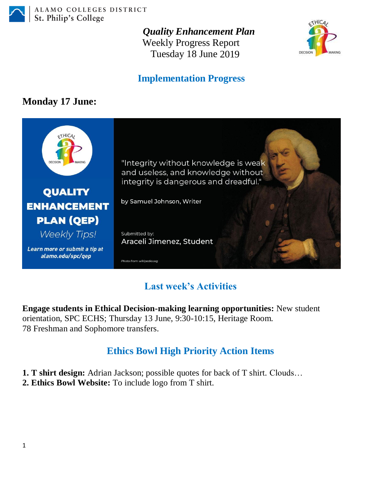

ALAMO COLLEGES DISTRICT St. Philip's College

*Quality Enhancement Plan*

Weekly Progress Report Tuesday 18 June 2019



#### **Implementation Progress**

#### **Monday 17 June:**



## **Last week's Activities**

**Engage students in Ethical Decision-making learning opportunities:** New student orientation, SPC ECHS; Thursday 13 June, 9:30-10:15, Heritage Room. 78 Freshman and Sophomore transfers.

## **Ethics Bowl High Priority Action Items**

- **1. T shirt design:** Adrian Jackson; possible quotes for back of T shirt. Clouds…
- **2. Ethics Bowl Website:** To include logo from T shirt.